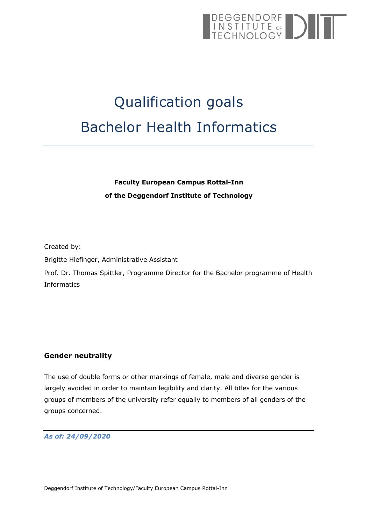# DEGGENDORF<br>
INSTITUTE of<br>
TECHNOLOGY

# Qualification goals Bachelor Health Informatics

# **Faculty European Campus Rottal-Inn of the Deggendorf Institute of Technology**

Created by:

Brigitte Hiefinger, Administrative Assistant

Prof. Dr. Thomas Spittler, Programme Director for the Bachelor programme of Health Informatics

#### <span id="page-0-0"></span>**Gender neutrality**

The use of double forms or other markings of female, male and diverse gender is largely avoided in order to maintain legibility and clarity. All titles for the various groups of members of the university refer equally to members of all genders of the groups concerned.

#### *As of: 24/09/2020*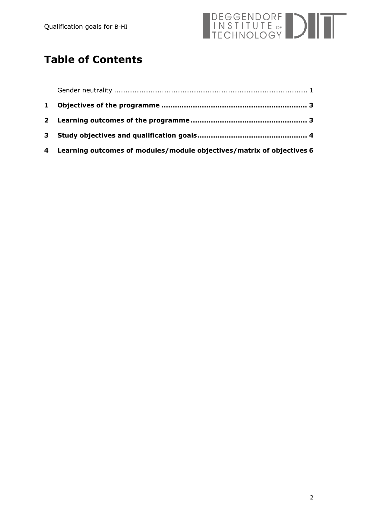

# **Table of Contents**

| 4 Learning outcomes of modules/module objectives/matrix of objectives 6 |  |
|-------------------------------------------------------------------------|--|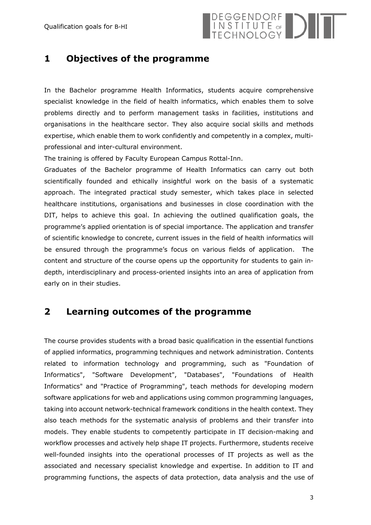

## <span id="page-2-0"></span>**1 Objectives of the programme**

In the Bachelor programme Health Informatics, students acquire comprehensive specialist knowledge in the field of health informatics, which enables them to solve problems directly and to perform management tasks in facilities, institutions and organisations in the healthcare sector. They also acquire social skills and methods expertise, which enable them to work confidently and competently in a complex, multiprofessional and inter-cultural environment.

The training is offered by Faculty European Campus Rottal-Inn.

Graduates of the Bachelor programme of Health Informatics can carry out both scientifically founded and ethically insightful work on the basis of a systematic approach. The integrated practical study semester, which takes place in selected healthcare institutions, organisations and businesses in close coordination with the DIT, helps to achieve this goal. In achieving the outlined qualification goals, the programme's applied orientation is of special importance. The application and transfer of scientific knowledge to concrete, current issues in the field of health informatics will be ensured through the programme's focus on various fields of application. The content and structure of the course opens up the opportunity for students to gain indepth, interdisciplinary and process-oriented insights into an area of application from early on in their studies.

### <span id="page-2-1"></span>**2 Learning outcomes of the programme**

The course provides students with a broad basic qualification in the essential functions of applied informatics, programming techniques and network administration. Contents related to information technology and programming, such as "Foundation of Informatics", "Software Development", "Databases", "Foundations of Health Informatics" and "Practice of Programming", teach methods for developing modern software applications for web and applications using common programming languages, taking into account network-technical framework conditions in the health context. They also teach methods for the systematic analysis of problems and their transfer into models. They enable students to competently participate in IT decision-making and workflow processes and actively help shape IT projects. Furthermore, students receive well-founded insights into the operational processes of IT projects as well as the associated and necessary specialist knowledge and expertise. In addition to IT and programming functions, the aspects of data protection, data analysis and the use of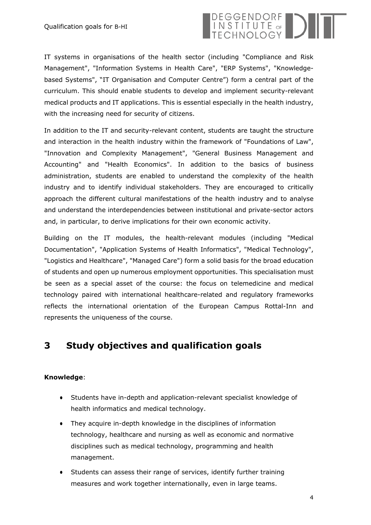

IT systems in organisations of the health sector (including "Compliance and Risk Management", "Information Systems in Health Care", "ERP Systems", "Knowledgebased Systems", "IT Organisation and Computer Centre") form a central part of the curriculum. This should enable students to develop and implement security-relevant medical products and IT applications. This is essential especially in the health industry, with the increasing need for security of citizens.

In addition to the IT and security-relevant content, students are taught the structure and interaction in the health industry within the framework of "Foundations of Law", "Innovation and Complexity Management", "General Business Management and Accounting" and "Health Economics". In addition to the basics of business administration, students are enabled to understand the complexity of the health industry and to identify individual stakeholders. They are encouraged to critically approach the different cultural manifestations of the health industry and to analyse and understand the interdependencies between institutional and private-sector actors and, in particular, to derive implications for their own economic activity.

Building on the IT modules, the health-relevant modules (including "Medical Documentation", "Application Systems of Health Informatics", "Medical Technology", "Logistics and Healthcare", "Managed Care") form a solid basis for the broad education of students and open up numerous employment opportunities. This specialisation must be seen as a special asset of the course: the focus on telemedicine and medical technology paired with international healthcare-related and regulatory frameworks reflects the international orientation of the European Campus Rottal-Inn and represents the uniqueness of the course.

# <span id="page-3-0"></span>**3 Study objectives and qualification goals**

#### **Knowledge**:

- Students have in-depth and application-relevant specialist knowledge of health informatics and medical technology.
- They acquire in-depth knowledge in the disciplines of information technology, healthcare and nursing as well as economic and normative disciplines such as medical technology, programming and health management.
- Students can assess their range of services, identify further training measures and work together internationally, even in large teams.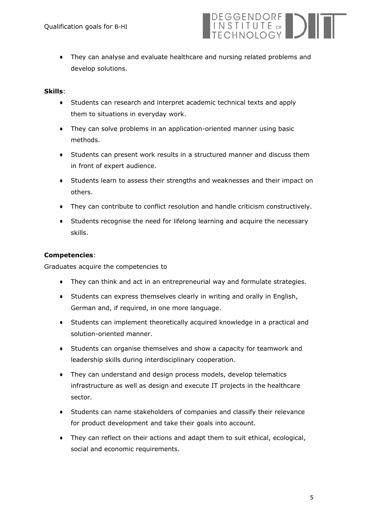

● They can analyse and evaluate healthcare and nursing related problems and develop solutions.

#### **Skills**:

- Students can research and interpret academic technical texts and apply them to situations in everyday work.
- They can solve problems in an application-oriented manner using basic methods.
- Students can present work results in a structured manner and discuss them in front of expert audience.
- Students learn to assess their strengths and weaknesses and their impact on others.
- They can contribute to conflict resolution and handle criticism constructively.
- Students recognise the need for lifelong learning and acquire the necessary skills.

#### **Competencies**:

Graduates acquire the competencies to

- They can think and act in an entrepreneurial way and formulate strategies.
- Students can express themselves clearly in writing and orally in English, German and, if required, in one more language.
- Students can implement theoretically acquired knowledge in a practical and solution-oriented manner.
- Students can organise themselves and show a capacity for teamwork and leadership skills during interdisciplinary cooperation.
- They can understand and design process models, develop telematics infrastructure as well as design and execute IT projects in the healthcare sector.
- Students can name stakeholders of companies and classify their relevance for product development and take their goals into account.
- They can reflect on their actions and adapt them to suit ethical, ecological, social and economic requirements.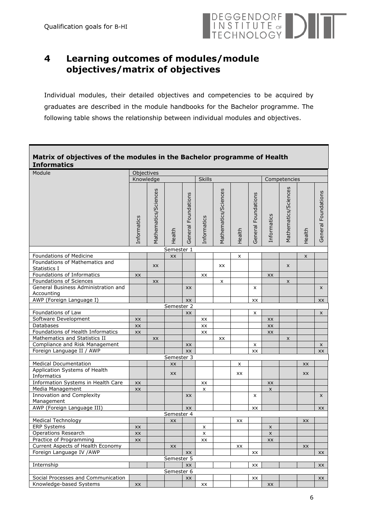

# <span id="page-5-0"></span>**4 Learning outcomes of modules/module objectives/matrix of objectives**

Individual modules, their detailed objectives and competencies to be acquired by graduates are described in the module handbooks for the Bachelor programme. The following table shows the relationship between individual modules and objectives.

#### **Matrix of objectives of the modules in the Bachelor programme of Health Informatics** Module **Department of Contract Contract Contract Objectives** Knowledge Skills Competencies Informatics<br>Mathematics/Sciences<br>Health General Foundations<br>Informatics<br>Mathematics/Sciences<br>Health Informatics<br>General Foundations Informatics Foundations General Foundations General Health Semester 1 Foundations of Medicine and the state of the state of the state of the state of the state of the state of the state of the state of the state of the state of the state of the state of the state of the state of the state of Foundations of Mathematics and  $\frac{1}{\text{Statistics I}}$  xx  $\left| \begin{array}{ccc} x & x \\ y & x \end{array} \right|$  xx  $\left| \begin{array}{ccc} x & x \\ y & x \end{array} \right|$  xx  $\left| \begin{array}{ccc} x & x \\ y & x \end{array} \right|$ Foundations of Informatics  $\vert x \vert \vert$  xx  $\vert x \vert$  xx  $\vert x \vert$  xx Foundations of Sciences xx x x General Business Administration and xx x x Accounting AWP (Foreign Language I) xx xx xx Semester 2 Foundations of Law  $\begin{vmatrix} 1 & 1 \\ 1 & x \end{vmatrix}$   $\begin{vmatrix} 1 & 1 \\ 1 & x \end{vmatrix}$   $\begin{vmatrix} x \\ x \end{vmatrix}$   $\begin{vmatrix} x \\ x \end{vmatrix}$   $\begin{vmatrix} x \\ x \end{vmatrix}$ Software Development xx xx xx Databases xx xx xx Foundations of Health Informatics xx xx xx Mathematics and Statistics II xx xx x Compliance and Risk Management xx x x Foreign Language II / AWP xx xx xx Semester 3 Medical Documentation and a series of the series of the series and a series of the series of the series of the series of the series of the series of the series of the series of the series of the series of the series of the Application Systems of Health Informatics xx xx xx Information Systems in Health Care xx | xx | xx | xx | xx Media Management xx x x Innovation and Complexity xx x x Management AWP (Foreign Language III) xx xx xx Semester 4 Medical Technology xx xx xx ERP Systems xx x x Operations Research  $\vert x \vert \vert \vert x \vert \vert x \vert \vert x \vert \vert x \vert$ Practice of Programming xx xx xx Current Aspects of Health Economy  $\vert \vert$   $\vert$  xx  $\vert$   $\vert$   $\vert$  xx  $\vert$   $\vert$   $\vert$  xx  $\vert$   $\vert$   $\vert$  xx Foreign Language IV /AWP xx xx xx Semester 5 Internship xx xx xx

Semester 6 Social Processes and Communication xx xx xx

Knowledge-based Systems  $\vert xx \vert$   $\vert$  xx  $\vert$   $\vert$  xx  $\vert$   $\vert$  xx